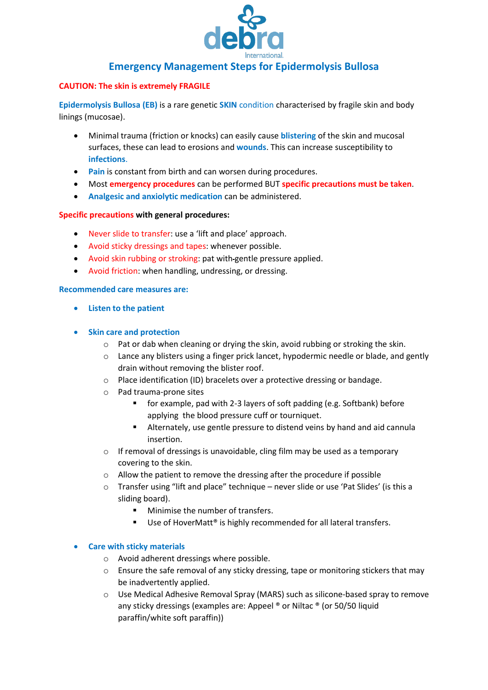

# **Emergency Management Steps for Epidermolysis Bullosa**

# **CAUTION: The skin is extremely FRAGILE**

**Epidermolysis Bullosa (EB)** is a rare genetic **SKIN** condition characterised by fragile skin and body linings (mucosae).

- Minimal trauma (friction or knocks) can easily cause **blistering** of the skin and mucosal surfaces, these can lead to erosions and **wounds**. This can increase susceptibility to **infections**.
- **Pain** is constant from birth and can worsen during procedures.
- Most **emergency procedures** can be performed BUT **specific precautions must be taken**.
- **Analgesic and anxiolytic medication** can be administered.

## **Specific precautions with general procedures:**

- Never slide to transfer: use a 'lift and place' approach.
- Avoid sticky dressings and tapes: whenever possible.
- Avoid skin rubbing or stroking: pat with gentle pressure applied.
- Avoid friction: when handling, undressing, or dressing.

#### **Recommended care measures are:**

- **Listen to the patient**
- **Skin care and protection**
	- $\circ$  Pat or dab when cleaning or drying the skin, avoid rubbing or stroking the skin.
	- $\circ$  Lance any blisters using a finger prick lancet, hypodermic needle or blade, and gently drain without removing the blister roof.
	- o Place identification (ID) bracelets over a protective dressing or bandage.
	- o Pad trauma-prone sites
		- for example, pad with 2-3 layers of soft padding (e.g. Softbank) before applying the blood pressure cuff or tourniquet.
		- Alternately, use gentle pressure to distend veins by hand and aid cannula insertion.
	- o If removal of dressings is unavoidable, cling film may be used as a temporary covering to the skin.
	- o Allow the patient to remove the dressing after the procedure if possible
	- o Transfer using "lift and place" technique never slide or use 'Pat Slides' (is this a sliding board).
		- Minimise the number of transfers.
		- Use of HoverMatt<sup>®</sup> is highly recommended for all lateral transfers.

## • **Care with sticky materials**

- o Avoid adherent dressings where possible.
- $\circ$  Ensure the safe removal of any sticky dressing, tape or monitoring stickers that may be inadvertently applied.
- o Use Medical Adhesive Removal Spray (MARS) such as silicone-based spray to remove any sticky dressings (examples are: Appeel ® or Niltac ® (or 50/50 liquid paraffin/white soft paraffin))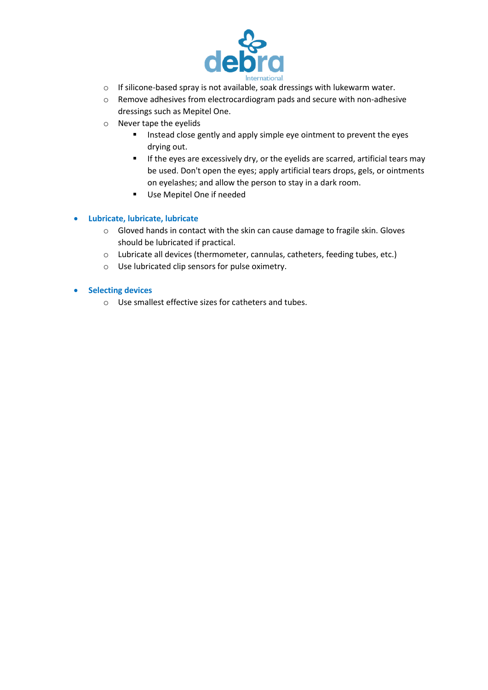

- o If silicone-based spray is not available, soak dressings with lukewarm water.
- o Remove adhesives from electrocardiogram pads and secure with non-adhesive dressings such as Mepitel One.
- o Never tape the eyelids
	- Instead close gently and apply simple eye ointment to prevent the eyes drying out.
	- **EXPLUE 11 If the eyes are excessively dry, or the eyelids are scarred, artificial tears may** be used. Don't open the eyes; apply artificial tears drops, gels, or ointments on eyelashes; and allow the person to stay in a dark room.
	- Use Mepitel One if needed

# • **Lubricate, lubricate, lubricate**

- o Gloved hands in contact with the skin can cause damage to fragile skin. Gloves should be lubricated if practical.
- o Lubricate all devices (thermometer, cannulas, catheters, feeding tubes, etc.)
- o Use lubricated clip sensors for pulse oximetry.

## • **Selecting devices**

o Use smallest effective sizes for catheters and tubes.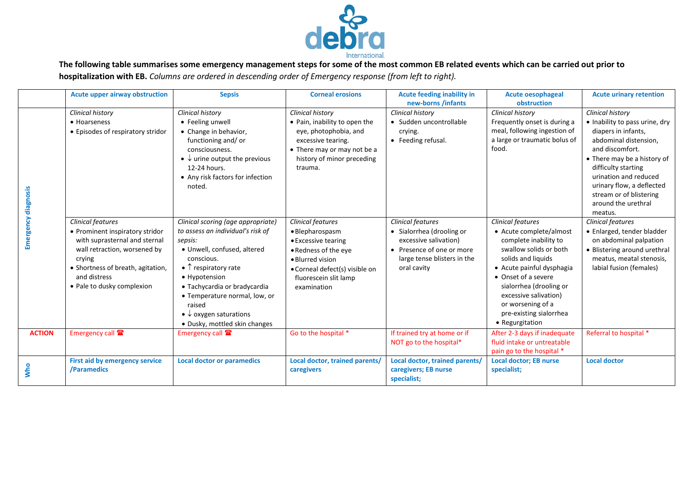

**The following table summarises some emergency management steps for some of the most common EB related events which can be carried out prior to hospitalization with EB.** *Columns are ordered in descending order of Emergency response (from left to right).* 

|                            | Acute upper airway obstruction                                                                                                                                                                                     | <b>Sepsis</b>                                                                                                                                                                                                                                                                                                                              | <b>Corneal erosions</b>                                                                                                                                                           | <b>Acute feeding inability in</b><br>new-borns /infants                                                                                                   | <b>Acute oesophageal</b><br>obstruction                                                                                                                                                                                                                                                                 | <b>Acute urinary retention</b>                                                                                                                                                                                                                                                                        |
|----------------------------|--------------------------------------------------------------------------------------------------------------------------------------------------------------------------------------------------------------------|--------------------------------------------------------------------------------------------------------------------------------------------------------------------------------------------------------------------------------------------------------------------------------------------------------------------------------------------|-----------------------------------------------------------------------------------------------------------------------------------------------------------------------------------|-----------------------------------------------------------------------------------------------------------------------------------------------------------|---------------------------------------------------------------------------------------------------------------------------------------------------------------------------------------------------------------------------------------------------------------------------------------------------------|-------------------------------------------------------------------------------------------------------------------------------------------------------------------------------------------------------------------------------------------------------------------------------------------------------|
| <b>Emergency diagnosis</b> | Clinical history<br>• Hoarseness<br>• Episodes of respiratory stridor                                                                                                                                              | Clinical history<br>• Feeling unwell<br>• Change in behavior,<br>functioning and/or<br>consciousness.<br>$\bullet \downarrow$ urine output the previous<br>12-24 hours.<br>• Any risk factors for infection<br>noted.                                                                                                                      | <b>Clinical history</b><br>• Pain, inability to open the<br>eye, photophobia, and<br>excessive tearing.<br>• There may or may not be a<br>history of minor preceding<br>trauma.   | Clinical history<br>• Sudden uncontrollable<br>crying.<br>• Feeding refusal.                                                                              | <b>Clinical history</b><br>Frequently onset is during a<br>meal, following ingestion of<br>a large or traumatic bolus of<br>food.                                                                                                                                                                       | <b>Clinical history</b><br>• Inability to pass urine, dry<br>diapers in infants,<br>abdominal distension,<br>and discomfort.<br>• There may be a history of<br>difficulty starting<br>urination and reduced<br>urinary flow, a deflected<br>stream or of blistering<br>around the urethral<br>meatus. |
|                            | Clinical features<br>• Prominent inspiratory stridor<br>with suprasternal and sternal<br>wall retraction, worsened by<br>crying<br>• Shortness of breath, agitation,<br>and distress<br>• Pale to dusky complexion | Clinical scoring (age appropriate)<br>to assess an individual's risk of<br>sepsis:<br>· Unwell, confused, altered<br>conscious.<br>$\bullet$ $\uparrow$ respiratory rate<br>• Hypotension<br>· Tachycardia or bradycardia<br>• Temperature normal, low, or<br>raised<br>• $\downarrow$ oxygen saturations<br>• Dusky, mottled skin changes | Clinical features<br>• Blepharospasm<br>• Excessive tearing<br>• Redness of the eye<br>• Blurred vision<br>· Corneal defect(s) visible on<br>fluorescein slit lamp<br>examination | <b>Clinical features</b><br>• Sialorrhea (drooling or<br>excessive salivation)<br>• Presence of one or more<br>large tense blisters in the<br>oral cavity | <b>Clinical features</b><br>• Acute complete/almost<br>complete inability to<br>swallow solids or both<br>solids and liquids<br>• Acute painful dysphagia<br>• Onset of a severe<br>sialorrhea (drooling or<br>excessive salivation)<br>or worsening of a<br>pre-existing sialorrhea<br>• Regurgitation | <b>Clinical features</b><br>· Enlarged, tender bladder<br>on abdominal palpation<br>• Blistering around urethral<br>meatus, meatal stenosis,<br>labial fusion (females)                                                                                                                               |
| <b>ACTION</b>              | Emergency call                                                                                                                                                                                                     | Emergency call <sup>2</sup>                                                                                                                                                                                                                                                                                                                | Go to the hospital *                                                                                                                                                              | If trained try at home or if<br>NOT go to the hospital*                                                                                                   | After 2-3 days if inadequate<br>fluid intake or untreatable<br>pain go to the hospital *                                                                                                                                                                                                                | Referral to hospital *                                                                                                                                                                                                                                                                                |
| <b>Who</b>                 | First aid by emergency service<br>/Paramedics                                                                                                                                                                      | <b>Local doctor or paramedics</b>                                                                                                                                                                                                                                                                                                          | Local doctor, trained parents/<br>caregivers                                                                                                                                      | Local doctor, trained parents/<br>caregivers; EB nurse<br>specialist;                                                                                     | <b>Local doctor; EB nurse</b><br>specialist;                                                                                                                                                                                                                                                            | <b>Local doctor</b>                                                                                                                                                                                                                                                                                   |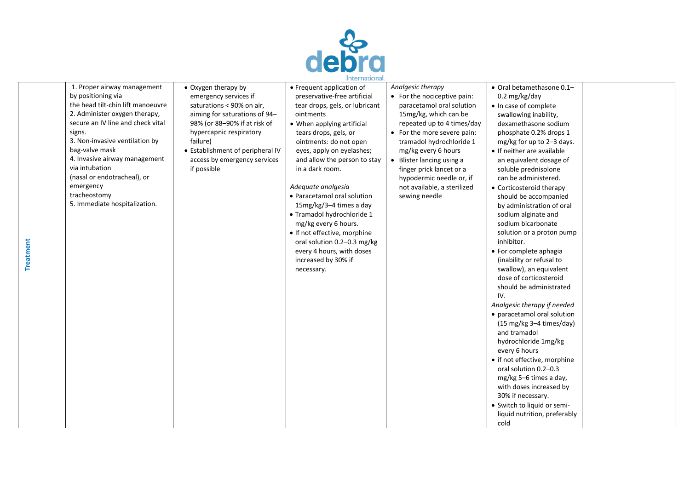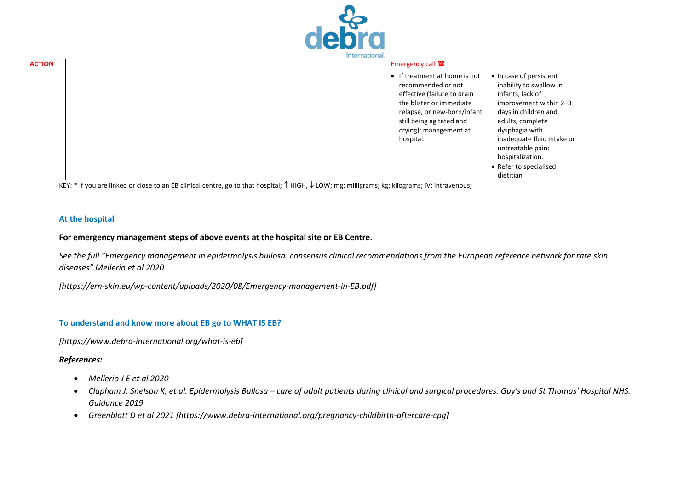

| <b>ACTION</b> |  | Emergency call <sup>2</sup>                                                                                                                                                                                    |                                                                                                                                                                                                                                                                              |  |
|---------------|--|----------------------------------------------------------------------------------------------------------------------------------------------------------------------------------------------------------------|------------------------------------------------------------------------------------------------------------------------------------------------------------------------------------------------------------------------------------------------------------------------------|--|
|               |  | If treatment at home is not<br>recommended or not<br>effective (failure to drain<br>the blister or immediate<br>relapse, or new-born/infant<br>still being agitated and<br>crying): management at<br>hospital. | • In case of persistent<br>inability to swallow in<br>infants, lack of<br>improvement within 2-3<br>days in children and<br>adults, complete<br>dysphagia with<br>inadequate fluid intake or<br>untreatable pain:<br>hospitalization.<br>• Refer to specialised<br>dietitian |  |

KEY: \* If you are linked or close to an EB clinical centre, go to that hospital;  $\uparrow$  HIGH,  $\downarrow$  LOW; mg: milligrams; kg: kilograms; IV: intravenous;

#### **At the hospital**

#### **For emergency management steps of above events at the hospital site or EB Centre.**

See the full "Emergency management in epidermolysis bullosa: consensus clinical recommendations from the European reference network for rare skin *diseases" Mellerio et al 2020* 

*[https://ern-skin.eu/wp-content/uploads/2020/08/Emergency-management-in-EB.pdf]*

#### **To understand and know more about EB go to WHAT IS EB?**

*[https://www.debra-international.org/what-is-eb]*

## *References:*

- *Mellerio J E et al 2020*
- *Clapham J, Snelson K, et al. Epidermolysis Bullosa – care of adult patients during clinical and surgical procedures. Guy's and St Thomas' Hospital NHS. Guidance 2019*
- *Greenblatt D et al 2021 [https://www.debra-international.org/pregnancy-childbirth-aftercare-cpg]*